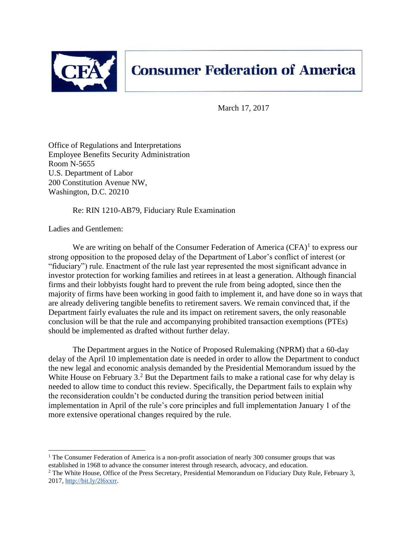

March 17, 2017

Office of Regulations and Interpretations Employee Benefits Security Administration Room N-5655 U.S. Department of Labor 200 Constitution Avenue NW, Washington, D.C. 20210

Re: RIN 1210-AB79, Fiduciary Rule Examination

Ladies and Gentlemen:

We are writing on behalf of the Consumer Federation of America  $(CFA)^1$  to express our strong opposition to the proposed delay of the Department of Labor's conflict of interest (or "fiduciary") rule. Enactment of the rule last year represented the most significant advance in investor protection for working families and retirees in at least a generation. Although financial firms and their lobbyists fought hard to prevent the rule from being adopted, since then the majority of firms have been working in good faith to implement it, and have done so in ways that are already delivering tangible benefits to retirement savers. We remain convinced that, if the Department fairly evaluates the rule and its impact on retirement savers, the only reasonable conclusion will be that the rule and accompanying prohibited transaction exemptions (PTEs) should be implemented as drafted without further delay.

The Department argues in the Notice of Proposed Rulemaking (NPRM) that a 60-day delay of the April 10 implementation date is needed in order to allow the Department to conduct the new legal and economic analysis demanded by the Presidential Memorandum issued by the White House on February  $3<sup>2</sup>$  But the Department fails to make a rational case for why delay is needed to allow time to conduct this review. Specifically, the Department fails to explain why the reconsideration couldn't be conducted during the transition period between initial implementation in April of the rule's core principles and full implementation January 1 of the more extensive operational changes required by the rule.

<sup>&</sup>lt;sup>1</sup> The Consumer Federation of America is a non-profit association of nearly 300 consumer groups that was established in 1968 to advance the consumer interest through research, advocacy, and education.

<sup>&</sup>lt;sup>2</sup> The White House, Office of the Press Secretary, Presidential Memorandum on Fiduciary Duty Rule, February 3, 2017, [http://bit.ly/2l6xxrr.](http://bit.ly/2l6xxrr)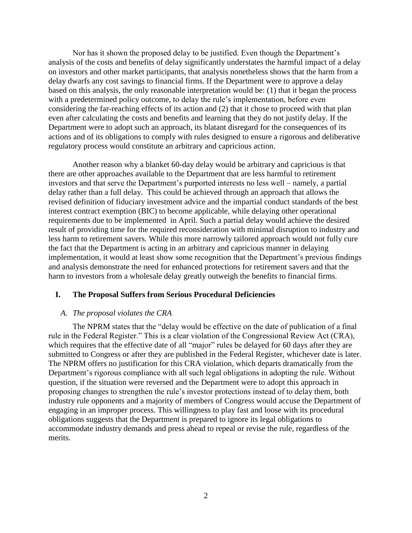Nor has it shown the proposed delay to be justified. Even though the Department's analysis of the costs and benefits of delay significantly understates the harmful impact of a delay on investors and other market participants, that analysis nonetheless shows that the harm from a delay dwarfs any cost savings to financial firms. If the Department were to approve a delay based on this analysis, the only reasonable interpretation would be: (1) that it began the process with a predetermined policy outcome, to delay the rule's implementation, before even considering the far-reaching effects of its action and (2) that it chose to proceed with that plan even after calculating the costs and benefits and learning that they do not justify delay. If the Department were to adopt such an approach, its blatant disregard for the consequences of its actions and of its obligations to comply with rules designed to ensure a rigorous and deliberative regulatory process would constitute an arbitrary and capricious action.

Another reason why a blanket 60-day delay would be arbitrary and capricious is that there are other approaches available to the Department that are less harmful to retirement investors and that serve the Department's purported interests no less well – namely, a partial delay rather than a full delay. This could be achieved through an approach that allows the revised definition of fiduciary investment advice and the impartial conduct standards of the best interest contract exemption (BIC) to become applicable, while delaying other operational requirements due to be implemented in April. Such a partial delay would achieve the desired result of providing time for the required reconsideration with minimal disruption to industry and less harm to retirement savers. While this more narrowly tailored approach would not fully cure the fact that the Department is acting in an arbitrary and capricious manner in delaying implementation, it would at least show some recognition that the Department's previous findings and analysis demonstrate the need for enhanced protections for retirement savers and that the harm to investors from a wholesale delay greatly outweigh the benefits to financial firms.

### **I. The Proposal Suffers from Serious Procedural Deficiencies**

#### *A. The proposal violates the CRA*

The NPRM states that the "delay would be effective on the date of publication of a final rule in the Federal Register." This is a clear violation of the Congressional Review Act (CRA), which requires that the effective date of all "major" rules be delayed for 60 days after they are submitted to Congress or after they are published in the Federal Register, whichever date is later. The NPRM offers no justification for this CRA violation, which departs dramatically from the Department's rigorous compliance with all such legal obligations in adopting the rule. Without question, if the situation were reversed and the Department were to adopt this approach in proposing changes to strengthen the rule's investor protections instead of to delay them, both industry rule opponents and a majority of members of Congress would accuse the Department of engaging in an improper process. This willingness to play fast and loose with its procedural obligations suggests that the Department is prepared to ignore its legal obligations to accommodate industry demands and press ahead to repeal or revise the rule, regardless of the merits.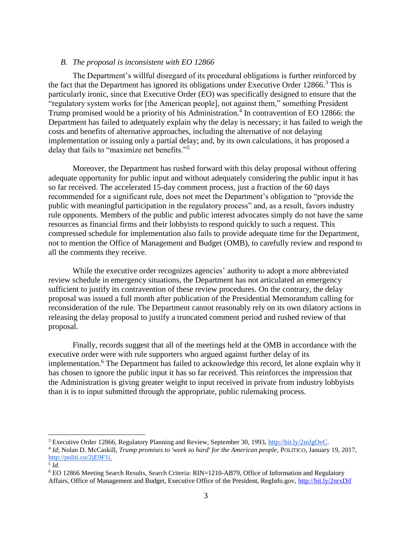### *B. The proposal is inconsistent with EO 12866*

The Department's willful disregard of its procedural obligations is further reinforced by the fact that the Department has ignored its obligations under Executive Order  $12866$ <sup>3</sup>. This is particularly ironic, since that Executive Order (EO) was specifically designed to ensure that the "regulatory system works for [the American people], not against them," something President Trump promised would be a priority of his Administration.<sup>4</sup> In contravention of EO 12866: the Department has failed to adequately explain why the delay is necessary; it has failed to weigh the costs and benefits of alternative approaches, including the alternative of not delaying implementation or issuing only a partial delay; and, by its own calculations, it has proposed a delay that fails to "maximize net benefits."<sup>5</sup>

Moreover, the Department has rushed forward with this delay proposal without offering adequate opportunity for public input and without adequately considering the public input it has so far received. The accelerated 15-day comment process, just a fraction of the 60 days recommended for a significant rule, does not meet the Department's obligation to "provide the public with meaningful participation in the regulatory process" and, as a result, favors industry rule opponents. Members of the public and public interest advocates simply do not have the same resources as financial firms and their lobbyists to respond quickly to such a request. This compressed schedule for implementation also fails to provide adequate time for the Department, not to mention the Office of Management and Budget (OMB), to carefully review and respond to all the comments they receive.

While the executive order recognizes agencies' authority to adopt a more abbreviated review schedule in emergency situations, the Department has not articulated an emergency sufficient to justify its contravention of these review procedures. On the contrary, the delay proposal was issued a full month after publication of the Presidential Memorandum calling for reconsideration of the rule. The Department cannot reasonably rely on its own dilatory actions in releasing the delay proposal to justify a truncated comment period and rushed review of that proposal.

Finally, records suggest that all of the meetings held at the OMB in accordance with the executive order were with rule supporters who argued against further delay of its implementation.<sup>6</sup> The Department has failed to acknowledge this record, let alone explain why it has chosen to ignore the public input it has so far received. This reinforces the impression that the Administration is giving greater weight to input received in private from industry lobbyists than it is to input submitted through the appropriate, public rulemaking process.

 $\overline{a}$ 

<sup>3</sup> Executive Order 12866, Regulatory Planning and Review, September 30, 1993, [http://bit.ly/2mJgOvC.](http://bit.ly/2mJgOvC)

<sup>4</sup> *Id*; Nolan D. McCaskill, *Trump promises to 'work so hard' for the American people*, POLITICO, January 19, 2017[,](http://politi.co/2jE9F1i) [http://politi.co/2jE9F1i.](http://politi.co/2jE9F1i)

<sup>5</sup> *Id*.

<sup>6</sup> EO 12866 Meeting Search Results, Search Criteria: RIN=1210-AB79, Office of Information and Regulatory Affairs, Office of Management and Budget, Executive Office of the President, RegInfo.gov, [http://bit.ly/2nrxDif.](http://bit.ly/2nrxDif)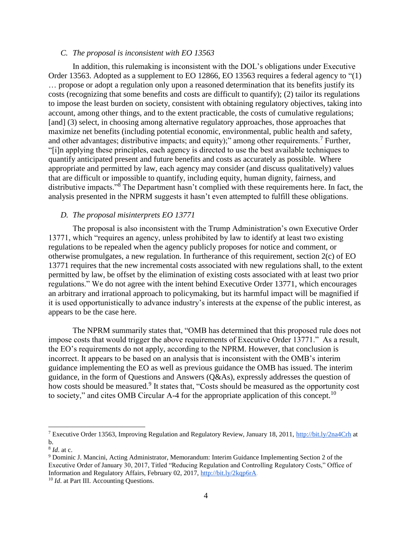#### *C. The proposal is inconsistent with EO 13563*

In addition, this rulemaking is inconsistent with the DOL's obligations under Executive Order 13563. Adopted as a supplement to EO 12866, EO 13563 requires a federal agency to "(1) … propose or adopt a regulation only upon a reasoned determination that its benefits justify its costs (recognizing that some benefits and costs are difficult to quantify); (2) tailor its regulations to impose the least burden on society, consistent with obtaining regulatory objectives, taking into account, among other things, and to the extent practicable, the costs of cumulative regulations; [and] (3) select, in choosing among alternative regulatory approaches, those approaches that maximize net benefits (including potential economic, environmental, public health and safety, and other advantages; distributive impacts; and equity);" among other requirements.<sup>7</sup> Further, "[i]n applying these principles, each agency is directed to use the best available techniques to quantify anticipated present and future benefits and costs as accurately as possible. Where appropriate and permitted by law, each agency may consider (and discuss qualitatively) values that are difficult or impossible to quantify, including equity, human dignity, fairness, and distributive impacts."<sup>8</sup> The Department hasn't complied with these requirements here. In fact, the analysis presented in the NPRM suggests it hasn't even attempted to fulfill these obligations.

#### *D. The proposal misinterprets EO 13771*

The proposal is also inconsistent with the Trump Administration's own Executive Order 13771, which "requires an agency, unless prohibited by law to identify at least two existing regulations to be repealed when the agency publicly proposes for notice and comment, or otherwise promulgates, a new regulation. In furtherance of this requirement, section 2(c) of EO 13771 requires that the new incremental costs associated with new regulations shall, to the extent permitted by law, be offset by the elimination of existing costs associated with at least two prior regulations." We do not agree with the intent behind Executive Order 13771, which encourages an arbitrary and irrational approach to policymaking, but its harmful impact will be magnified if it is used opportunistically to advance industry's interests at the expense of the public interest, as appears to be the case here.

The NPRM summarily states that, "OMB has determined that this proposed rule does not impose costs that would trigger the above requirements of Executive Order 13771." As a result, the EO's requirements do not apply, according to the NPRM. However, that conclusion is incorrect. It appears to be based on an analysis that is inconsistent with the OMB's interim guidance implementing the EO as well as previous guidance the OMB has issued. The interim guidance, in the form of Questions and Answers (Q&As), expressly addresses the question of how costs should be measured.<sup>9</sup> It states that, "Costs should be measured as the opportunity cost to society," and cites OMB Circular A-4 for the appropriate application of this concept.<sup>10</sup>

<sup>7</sup> Executive Order 13563, Improving Regulation and Regulatory Review, January 18, 2011,<http://bit.ly/2na4Crh> at b.

<sup>8</sup> *Id*. at c.

<sup>9</sup> Dominic J. Mancini, Acting Administrator, Memorandum: Interim Guidance Implementing Section 2 of the Executive Order of January 30, 2017, Titled "Reducing Regulation and Controlling Regulatory Costs," Office of Information and Regulatory Affairs, February 02, 201[7,](http://bit.ly/2kqp6rA) [http://bit.ly/2kqp6rA.](http://bit.ly/2kqp6rA)

<sup>&</sup>lt;sup>10</sup> *Id.* at Part III. Accounting Questions.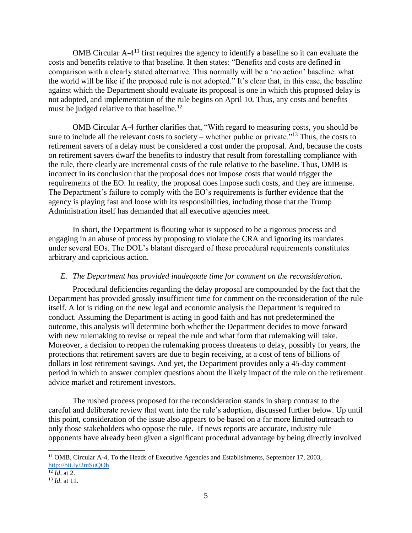OMB Circular A-4<sup>11</sup> first requires the agency to identify a baseline so it can evaluate the costs and benefits relative to that baseline. It then states: "Benefits and costs are defined in comparison with a clearly stated alternative. This normally will be a 'no action' baseline: what the world will be like if the proposed rule is not adopted." It's clear that, in this case, the baseline against which the Department should evaluate its proposal is one in which this proposed delay is not adopted, and implementation of the rule begins on April 10. Thus, any costs and benefits must be judged relative to that baseline.<sup>12</sup>

OMB Circular A-4 further clarifies that, "With regard to measuring costs, you should be sure to include all the relevant costs to society – whether public or private."<sup>13</sup> Thus, the costs to retirement savers of a delay must be considered a cost under the proposal. And, because the costs on retirement savers dwarf the benefits to industry that result from forestalling compliance with the rule, there clearly are incremental costs of the rule relative to the baseline. Thus, OMB is incorrect in its conclusion that the proposal does not impose costs that would trigger the requirements of the EO. In reality, the proposal does impose such costs, and they are immense. The Department's failure to comply with the EO's requirements is further evidence that the agency is playing fast and loose with its responsibilities, including those that the Trump Administration itself has demanded that all executive agencies meet.

In short, the Department is flouting what is supposed to be a rigorous process and engaging in an abuse of process by proposing to violate the CRA and ignoring its mandates under several EOs. The DOL's blatant disregard of these procedural requirements constitutes arbitrary and capricious action.

#### *E. The Department has provided inadequate time for comment on the reconsideration.*

Procedural deficiencies regarding the delay proposal are compounded by the fact that the Department has provided grossly insufficient time for comment on the reconsideration of the rule itself. A lot is riding on the new legal and economic analysis the Department is required to conduct. Assuming the Department is acting in good faith and has not predetermined the outcome, this analysis will determine both whether the Department decides to move forward with new rulemaking to revise or repeal the rule and what form that rulemaking will take. Moreover, a decision to reopen the rulemaking process threatens to delay, possibly for years, the protections that retirement savers are due to begin receiving, at a cost of tens of billions of dollars in lost retirement savings. And yet, the Department provides only a 45-day comment period in which to answer complex questions about the likely impact of the rule on the retirement advice market and retirement investors.

The rushed process proposed for the reconsideration stands in sharp contrast to the careful and deliberate review that went into the rule's adoption, discussed further below. Up until this point, consideration of the issue also appears to be based on a far more limited outreach to only those stakeholders who oppose the rule. If news reports are accurate, industry rule opponents have already been given a significant procedural advantage by being directly involved

 $11$  OMB, Circular A-4, To the Heads of Executive Agencies and Establishments, September 17, 2003, [http://bit.ly/2mSuQOh.](http://bit.ly/2mSuQOh)

 $\frac{12}{12}$  *Id.* at 2.

<sup>13</sup> *Id*. at 11.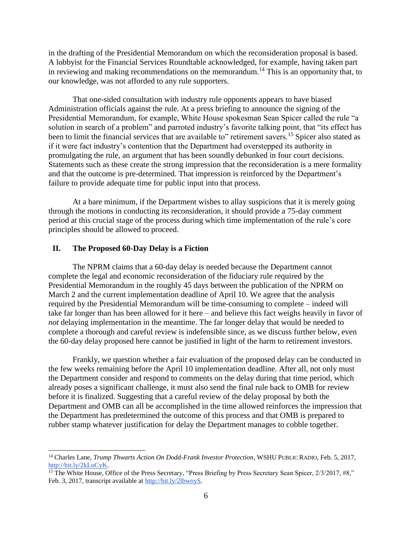in the drafting of the Presidential Memorandum on which the reconsideration proposal is based. A lobbyist for the Financial Services Roundtable acknowledged, for example, having taken part in reviewing and making recommendations on the memorandum.<sup>14</sup> This is an opportunity that, to our knowledge, was not afforded to any rule supporters.

That one-sided consultation with industry rule opponents appears to have biased Administration officials against the rule. At a press briefing to announce the signing of the Presidential Memorandum, for example, White House spokesman Sean Spicer called the rule "a solution in search of a problem" and parroted industry's favorite talking point, that "its effect has been to limit the financial services that are available to" retirement savers.<sup>15</sup> Spicer also stated as if it were fact industry's contention that the Department had overstepped its authority in promulgating the rule, an argument that has been soundly debunked in four court decisions. Statements such as these create the strong impression that the reconsideration is a mere formality and that the outcome is pre-determined. That impression is reinforced by the Department's failure to provide adequate time for public input into that process.

At a bare minimum, if the Department wishes to allay suspicions that it is merely going through the motions in conducting its reconsideration, it should provide a 75-day comment period at this crucial stage of the process during which time implementation of the rule's core principles should be allowed to proceed.

## **II. The Proposed 60-Day Delay is a Fiction**

The NPRM claims that a 60-day delay is needed because the Department cannot complete the legal and economic reconsideration of the fiduciary rule required by the Presidential Memorandum in the roughly 45 days between the publication of the NPRM on March 2 and the current implementation deadline of April 10. We agree that the analysis required by the Presidential Memorandum will be time-consuming to complete – indeed will take far longer than has been allowed for it here – and believe this fact weighs heavily in favor of *not* delaying implementation in the meantime. The far longer delay that would be needed to complete a thorough and careful review is indefensible since, as we discuss further below, even the 60-day delay proposed here cannot be justified in light of the harm to retirement investors.

Frankly, we question whether a fair evaluation of the proposed delay can be conducted in the few weeks remaining before the April 10 implementation deadline. After all, not only must the Department consider and respond to comments on the delay during that time period, which already poses a significant challenge, it must also send the final rule back to OMB for review before it is finalized. Suggesting that a careful review of the delay proposal by both the Department and OMB can all be accomplished in the time allowed reinforces the impression that the Department has predetermined the outcome of this process and that OMB is prepared to rubber stamp whatever justification for delay the Department manages to cobble together.

<sup>14</sup> Charles Lane, *Trump Thwarts Action On Dodd-Frank Investor Protection*, WSHU PUBLIC RADIO, Feb. 5, 2017, [http://bit.ly/2kLoCyK.](http://bit.ly/2kLoCyK) 

<sup>&</sup>lt;sup>15</sup> The White House, Office of the Press Secretary, "Press Briefing by Press Secretary Sean Spicer, 2/3/2017, #8," Feb. 3, 2017, transcript available at [http://bit.ly/2lbwoyS.](http://bit.ly/2lbwoyS)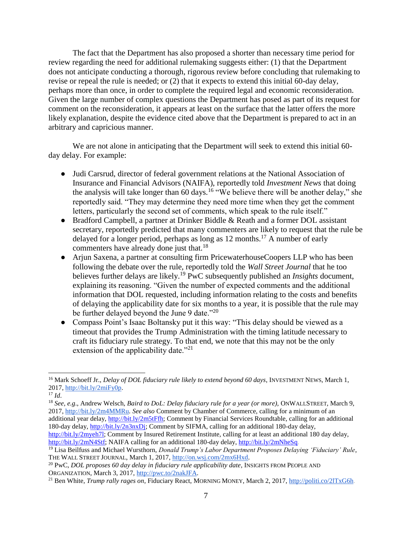The fact that the Department has also proposed a shorter than necessary time period for review regarding the need for additional rulemaking suggests either: (1) that the Department does not anticipate conducting a thorough, rigorous review before concluding that rulemaking to revise or repeal the rule is needed; or (2) that it expects to extend this initial 60-day delay, perhaps more than once, in order to complete the required legal and economic reconsideration. Given the large number of complex questions the Department has posed as part of its request for comment on the reconsideration, it appears at least on the surface that the latter offers the more likely explanation, despite the evidence cited above that the Department is prepared to act in an arbitrary and capricious manner.

We are not alone in anticipating that the Department will seek to extend this initial 60day delay. For example:

- Judi Carsrud, director of federal government relations at the National Association of Insurance and Financial Advisors (NAIFA), reportedly told *Investment News* that doing the analysis will take longer than 60 days.<sup>16</sup> "We believe there will be another delay," she reportedly said. "They may determine they need more time when they get the comment letters, particularly the second set of comments, which speak to the rule itself."
- Bradford Campbell, a partner at Drinker Biddle & Reath and a former DOL assistant secretary, reportedly predicted that many commenters are likely to request that the rule be delayed for a longer period, perhaps as long as 12 months.<sup>17</sup> A number of early commenters have already done just that.<sup>18</sup>
- Arjun Saxena, a partner at consulting firm PricewaterhouseCoopers LLP who has been following the debate over the rule, reportedly told the *Wall Street Journal* that he too believes further delays are likely.<sup>19</sup> PwC subsequently published an *Insights* document, explaining its reasoning. "Given the number of expected comments and the additional information that DOL requested, including information relating to the costs and benefits of delaying the applicability date for six months to a year, it is possible that the rule may be further delayed beyond the June 9 date."<sup>20</sup>
- Compass Point's Isaac Boltansky put it this way: "This delay should be viewed as a timeout that provides the Trump Administration with the timing latitude necessary to craft its fiduciary rule strategy. To that end, we note that this may not be the only extension of the applicability date. $"^{21}$

 <sup>16</sup> Mark Schoeff Jr., *Delay of DOL fiduciary rule likely to extend beyond 60 days*, INVESTMENT NEWS, March 1, 2017, [http://bit.ly/2miFy0p.](http://bit.ly/2miFy0p)

<sup>17</sup> *Id*.

<sup>18</sup> *See, e.g*., Andrew Welsch, *Baird to DoL: Delay fiduciary rule for a year (or more),* ONWALLSTREET, March 9, 2017, [http://bit.ly/2m4MMRu.](http://bit.ly/2m4MMRu) *See also* Comment by Chamber of Commerce, calling for a minimum of an additional year delay, [http://bit.ly/2m5tFfh;](http://bit.ly/2m5tFfh) Comment by Financial Services Roundtable, calling for an additional 180-day delay, [http://bit.ly/2n3nxDj;](http://bit.ly/2n3nxDj) Comment by SIFMA, calling for an additional 180-day delay,

[http://bit.ly/2myeh7l;](http://bit.ly/2myeh7l) Comment by Insured Retirement Institute, calling for at least an additional 180 day delay, [http://bit.ly/2mN4Stf;](http://bit.ly/2mN4Stf) NAIFA calling for an additional 180-day delay[, http://bit.ly/2mNheSq.](http://bit.ly/2mNheSq)

<sup>19</sup> Lisa Beilfuss and Michael Wursthorn, *Donald Trump's Labor Department Proposes Delaying 'Fiduciary' Rule*, THE WALL STREET JOURNAL, March 1, 2017, [http://on.wsj.com/2mx6Hxd.](http://on.wsj.com/2mx6Hxd)

<sup>20</sup> PwC, *DOL proposes 60 day delay in fiduciary rule applicability date*, INSIGHTS FROM PEOPLE AND ORGANIZATION, March 3, 2017, [http://pwc.to/2nakJFA.](http://pwc.to/2nakJFA)

<sup>21</sup> Ben White, *Trump rally rages on*, Fiduciary React, MORNING MONEY, March 2, 2017[, http://politi.co/2lTxG6h.](http://politi.co/2lTxG6h)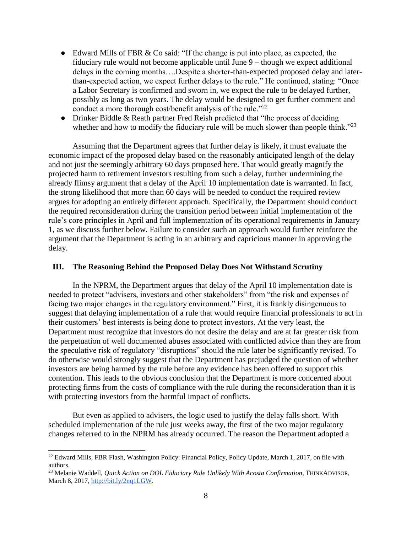- Edward Mills of FBR & Co said: "If the change is put into place, as expected, the fiduciary rule would not become applicable until June 9 – though we expect additional delays in the coming months….Despite a shorter-than-expected proposed delay and laterthan-expected action, we expect further delays to the rule." He continued, stating: "Once a Labor Secretary is confirmed and sworn in, we expect the rule to be delayed further, possibly as long as two years. The delay would be designed to get further comment and conduct a more thorough cost/benefit analysis of the rule."<sup>22</sup>
- Drinker Biddle & Reath partner Fred Reish predicted that "the process of deciding whether and how to modify the fiduciary rule will be much slower than people think."<sup>23</sup>

Assuming that the Department agrees that further delay is likely, it must evaluate the economic impact of the proposed delay based on the reasonably anticipated length of the delay and not just the seemingly arbitrary 60 days proposed here. That would greatly magnify the projected harm to retirement investors resulting from such a delay, further undermining the already flimsy argument that a delay of the April 10 implementation date is warranted. In fact, the strong likelihood that more than 60 days will be needed to conduct the required review argues for adopting an entirely different approach. Specifically, the Department should conduct the required reconsideration during the transition period between initial implementation of the rule's core principles in April and full implementation of its operational requirements in January 1, as we discuss further below. Failure to consider such an approach would further reinforce the argument that the Department is acting in an arbitrary and capricious manner in approving the delay.

### **III. The Reasoning Behind the Proposed Delay Does Not Withstand Scrutiny**

In the NPRM, the Department argues that delay of the April 10 implementation date is needed to protect "advisers, investors and other stakeholders" from "the risk and expenses of facing two major changes in the regulatory environment." First, it is frankly disingenuous to suggest that delaying implementation of a rule that would require financial professionals to act in their customers' best interests is being done to protect investors. At the very least, the Department must recognize that investors do not desire the delay and are at far greater risk from the perpetuation of well documented abuses associated with conflicted advice than they are from the speculative risk of regulatory "disruptions" should the rule later be significantly revised. To do otherwise would strongly suggest that the Department has prejudged the question of whether investors are being harmed by the rule before any evidence has been offered to support this contention. This leads to the obvious conclusion that the Department is more concerned about protecting firms from the costs of compliance with the rule during the reconsideration than it is with protecting investors from the harmful impact of conflicts.

But even as applied to advisers, the logic used to justify the delay falls short. With scheduled implementation of the rule just weeks away, the first of the two major regulatory changes referred to in the NPRM has already occurred. The reason the Department adopted a

<sup>&</sup>lt;sup>22</sup> Edward Mills, FBR Flash, Washington Policy: Financial Policy, Policy Update, March 1, 2017, on file with authors.

<sup>23</sup> Melanie Waddell, *Quick Action on DOL Fiduciary Rule Unlikely With Acosta Confirmation*, THINKADVISOR, March 8, 2017[, http://bit.ly/2nq1LGW.](http://bit.ly/2nq1LGW)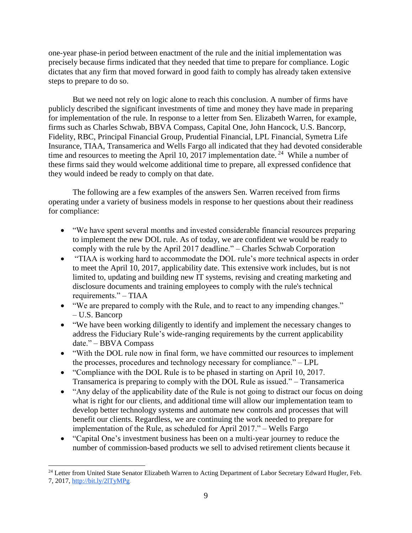one-year phase-in period between enactment of the rule and the initial implementation was precisely because firms indicated that they needed that time to prepare for compliance. Logic dictates that any firm that moved forward in good faith to comply has already taken extensive steps to prepare to do so.

But we need not rely on logic alone to reach this conclusion. A number of firms have publicly described the significant investments of time and money they have made in preparing for implementation of the rule. In response to a letter from Sen. Elizabeth Warren, for example, firms such as Charles Schwab, BBVA Compass, Capital One, John Hancock, U.S. Bancorp, Fidelity, RBC, Principal Financial Group, Prudential Financial, LPL Financial, Symetra Life Insurance, TIAA, Transamerica and Wells Fargo all indicated that they had devoted considerable time and resources to meeting the April 10, 2017 implementation date.<sup>24</sup> While a number of these firms said they would welcome additional time to prepare, all expressed confidence that they would indeed be ready to comply on that date.

The following are a few examples of the answers Sen. Warren received from firms operating under a variety of business models in response to her questions about their readiness for compliance:

- "We have spent several months and invested considerable financial resources preparing to implement the new DOL rule. As of today, we are confident we would be ready to comply with the rule by the April 2017 deadline." – Charles Schwab Corporation
- "TIAA is working hard to accommodate the DOL rule's more technical aspects in order to meet the April 10, 2017, applicability date. This extensive work includes, but is not limited to, updating and building new IT systems, revising and creating marketing and disclosure documents and training employees to comply with the rule's technical requirements." – TIAA
- "We are prepared to comply with the Rule, and to react to any impending changes." – U.S. Bancorp
- "We have been working diligently to identify and implement the necessary changes to address the Fiduciary Rule's wide-ranging requirements by the current applicability date." – BBVA Compass
- "With the DOL rule now in final form, we have committed our resources to implement the processes, procedures and technology necessary for compliance." – LPL
- "Compliance with the DOL Rule is to be phased in starting on April 10, 2017. Transamerica is preparing to comply with the DOL Rule as issued." – Transamerica
- "Any delay of the applicability date of the Rule is not going to distract our focus on doing what is right for our clients, and additional time will allow our implementation team to develop better technology systems and automate new controls and processes that will benefit our clients. Regardless, we are continuing the work needed to prepare for implementation of the Rule, as scheduled for April 2017." – Wells Fargo
- "Capital One's investment business has been on a multi-year journey to reduce the number of commission-based products we sell to advised retirement clients because it

<sup>&</sup>lt;sup>24</sup> Letter from United State Senator Elizabeth Warren to Acting Department of Labor Secretary Edward Hugler, Feb. 7, 2017, [http://bit.ly/2lTyMPg.](http://bit.ly/2lTyMPg)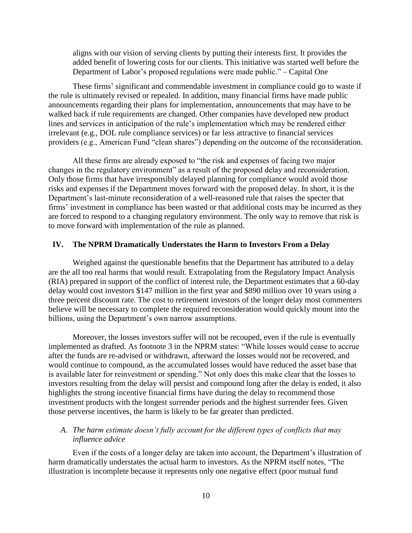aligns with our vision of serving clients by putting their interests first. It provides the added benefit of lowering costs for our clients. This initiative was started well before the Department of Labor's proposed regulations were made public." – Capital One

These firms' significant and commendable investment in compliance could go to waste if the rule is ultimately revised or repealed. In addition, many financial firms have made public announcements regarding their plans for implementation, announcements that may have to be walked back if rule requirements are changed. Other companies have developed new product lines and services in anticipation of the rule's implementation which may be rendered either irrelevant (e.g., DOL rule compliance services) or far less attractive to financial services providers (e.g., American Fund "clean shares") depending on the outcome of the reconsideration.

All these firms are already exposed to "the risk and expenses of facing two major changes in the regulatory environment" as a result of the proposed delay and reconsideration. Only those firms that have irresponsibly delayed planning for compliance would avoid those risks and expenses if the Department moves forward with the proposed delay. In short, it is the Department's last-minute reconsideration of a well-reasoned rule that raises the specter that firms' investment in compliance has been wasted or that additional costs may be incurred as they are forced to respond to a changing regulatory environment. The only way to remove that risk is to move forward with implementation of the rule as planned.

### **IV. The NPRM Dramatically Understates the Harm to Investors From a Delay**

Weighed against the questionable benefits that the Department has attributed to a delay are the all too real harms that would result. Extrapolating from the Regulatory Impact Analysis (RIA) prepared in support of the conflict of interest rule, the Department estimates that a 60-day delay would cost investors \$147 million in the first year and \$890 million over 10 years using a three percent discount rate. The cost to retirement investors of the longer delay most commenters believe will be necessary to complete the required reconsideration would quickly mount into the billions, using the Department's own narrow assumptions.

Moreover, the losses investors suffer will not be recouped, even if the rule is eventually implemented as drafted. As footnote 3 in the NPRM states: "While losses would cease to accrue after the funds are re-advised or withdrawn, afterward the losses would not be recovered, and would continue to compound, as the accumulated losses would have reduced the asset base that is available later for reinvestment or spending." Not only does this make clear that the losses to investors resulting from the delay will persist and compound long after the delay is ended, it also highlights the strong incentive financial firms have during the delay to recommend those investment products with the longest surrender periods and the highest surrender fees. Given those perverse incentives, the harm is likely to be far greater than predicted.

## *A. The harm estimate doesn't fully account for the different types of conflicts that may influence advice*

Even if the costs of a longer delay are taken into account, the Department's illustration of harm dramatically understates the actual harm to investors. As the NPRM itself notes, "The illustration is incomplete because it represents only one negative effect (poor mutual fund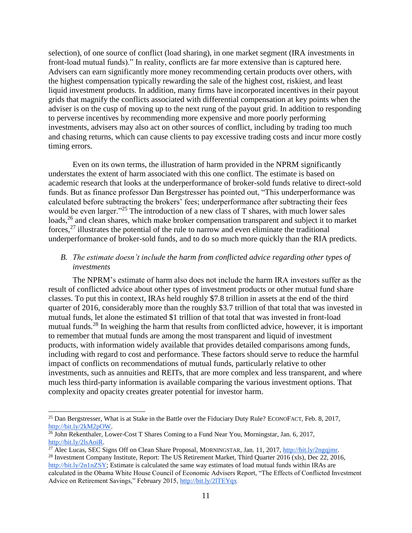selection), of one source of conflict (load sharing), in one market segment (IRA investments in front-load mutual funds)." In reality, conflicts are far more extensive than is captured here. Advisers can earn significantly more money recommending certain products over others, with the highest compensation typically rewarding the sale of the highest cost, riskiest, and least liquid investment products. In addition, many firms have incorporated incentives in their payout grids that magnify the conflicts associated with differential compensation at key points when the adviser is on the cusp of moving up to the next rung of the payout grid. In addition to responding to perverse incentives by recommending more expensive and more poorly performing investments, advisers may also act on other sources of conflict, including by trading too much and chasing returns, which can cause clients to pay excessive trading costs and incur more costly timing errors.

Even on its own terms, the illustration of harm provided in the NPRM significantly understates the extent of harm associated with this one conflict. The estimate is based on academic research that looks at the underperformance of broker-sold funds relative to direct-sold funds. But as finance professor Dan Bergstresser has pointed out, "This underperformance was calculated before subtracting the brokers' fees; underperformance after subtracting their fees would be even larger."<sup>25</sup> The introduction of a new class of T shares, with much lower sales loads,<sup>26</sup> and clean shares, which make broker compensation transparent and subject it to market forces,<sup>27</sup> illustrates the potential of the rule to narrow and even eliminate the traditional underperformance of broker-sold funds, and to do so much more quickly than the RIA predicts.

# *B. The estimate doesn't include the harm from conflicted advice regarding other types of investments*

The NPRM's estimate of harm also does not include the harm IRA investors suffer as the result of conflicted advice about other types of investment products or other mutual fund share classes. To put this in context, IRAs held roughly \$7.8 trillion in assets at the end of the third quarter of 2016, considerably more than the roughly \$3.7 trillion of that total that was invested in mutual funds, let alone the estimated \$1 trillion of that total that was invested in front-load mutual funds.<sup>28</sup> In weighing the harm that results from conflicted advice, however, it is important to remember that mutual funds are among the most transparent and liquid of investment products, with information widely available that provides detailed comparisons among funds, including with regard to cost and performance. These factors should serve to reduce the harmful impact of conflicts on recommendations of mutual funds, particularly relative to other investments, such as annuities and REITs, that are more complex and less transparent, and where much less third-party information is available comparing the various investment options. That complexity and opacity creates greater potential for investor harm.

 $\overline{a}$ 

<sup>&</sup>lt;sup>25</sup> Dan Bergstresser, What is at Stake in the Battle over the Fiduciary Duty Rule? ECONOFACT, Feb. 8, 2017, [http://bit.ly/2kM2pOW.](http://bit.ly/2kM2pOW)

 $\frac{26}{100}$  John Rekenthaler, Lower-Cost T Shares Coming to a Fund Near You, Morningstar, Jan. 6, 2017, [http://bit.ly/2lsAoiR.](http://bit.ly/2lsAoiR)

 $\frac{27}{27}$  Alec Lucas, SEC Signs Off on Clean Share Proposal, MORNINGSTAR, Jan. 11, 2017[, http://bit.ly/2ngqjmr.](http://bit.ly/2ngqjmr)

<sup>&</sup>lt;sup>28</sup> Investment Company Institute, Report: The US Retirement Market, Third Quarter 2016 (xls), Dec 22, 2016, [http://bit.ly/2n1nZSY;](http://bit.ly/2n1nZSY) Estimate is calculated the same way estimates of load mutual funds within IRAs are calculated in the Obama White House Council of Economic Advisers Report, "The Effects of Conflicted Investment Advice on Retirement Savings," February 2015, [http://bit.ly/2lTEYqx.](http://bit.ly/2lTEYqx)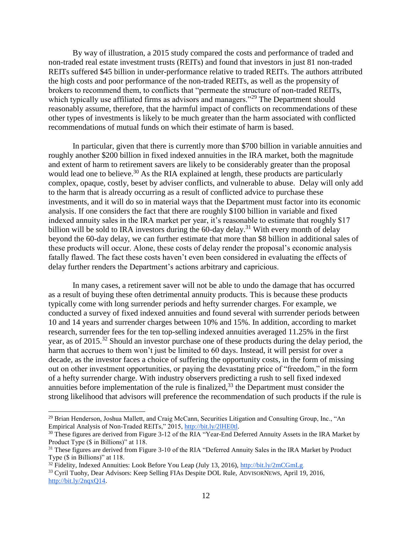By way of illustration, a 2015 study compared the costs and performance of traded and non-traded real estate investment trusts (REITs) and found that investors in just 81 non-traded REITs suffered \$45 billion in under-performance relative to traded REITs. The authors attributed the high costs and poor performance of the non-traded REITs, as well as the propensity of brokers to recommend them, to conflicts that "permeate the structure of non-traded REITs, which typically use affiliated firms as advisors and managers."<sup>29</sup> The Department should reasonably assume, therefore, that the harmful impact of conflicts on recommendations of these other types of investments is likely to be much greater than the harm associated with conflicted recommendations of mutual funds on which their estimate of harm is based.

In particular, given that there is currently more than \$700 billion in variable annuities and roughly another \$200 billion in fixed indexed annuities in the IRA market, both the magnitude and extent of harm to retirement savers are likely to be considerably greater than the proposal would lead one to believe.<sup>30</sup> As the RIA explained at length, these products are particularly complex, opaque, costly, beset by adviser conflicts, and vulnerable to abuse. Delay will only add to the harm that is already occurring as a result of conflicted advice to purchase these investments, and it will do so in material ways that the Department must factor into its economic analysis. If one considers the fact that there are roughly \$100 billion in variable and fixed indexed annuity sales in the IRA market per year, it's reasonable to estimate that roughly \$17 billion will be sold to IRA investors during the  $60$ -day delay.<sup>31</sup> With every month of delay beyond the 60-day delay, we can further estimate that more than \$8 billion in additional sales of these products will occur. Alone, these costs of delay render the proposal's economic analysis fatally flawed. The fact these costs haven't even been considered in evaluating the effects of delay further renders the Department's actions arbitrary and capricious.

In many cases, a retirement saver will not be able to undo the damage that has occurred as a result of buying these often detrimental annuity products. This is because these products typically come with long surrender periods and hefty surrender charges. For example, we conducted a survey of fixed indexed annuities and found several with surrender periods between 10 and 14 years and surrender charges between 10% and 15%. In addition, according to market research, surrender fees for the ten top-selling indexed annuities averaged 11.25% in the first year, as of 2015.<sup>32</sup> Should an investor purchase one of these products during the delay period, the harm that accrues to them won't just be limited to 60 days. Instead, it will persist for over a decade, as the investor faces a choice of suffering the opportunity costs, in the form of missing out on other investment opportunities, or paying the devastating price of "freedom," in the form of a hefty surrender charge. With industry observers predicting a rush to sell fixed indexed annuities before implementation of the rule is finalized, $33$  the Department must consider the strong likelihood that advisors will preference the recommendation of such products if the rule is

<sup>32</sup> Fidelity, Indexed Annuities: Look Before You Leap (July 13, 2016), [http://bit.ly/2mCGmLg.](http://bit.ly/2mCGmLg) 

 $\overline{a}$ 

<sup>&</sup>lt;sup>29</sup> Brian Henderson, Joshua Mallett, and Craig McCann, Securities Litigation and Consulting Group, Inc., "An Empirical Analysis of Non-Traded REITs," 2015, [http://bit.ly/2lHE0tl.](http://bit.ly/2lHE0tl) 

 $30$  These figures are derived from Figure 3-12 of the RIA "Year-End Deferred Annuity Assets in the IRA Market by Product Type (\$ in Billions)" at 118.

<sup>&</sup>lt;sup>31</sup> These figures are derived from Figure 3-10 of the RIA "Deferred Annuity Sales in the IRA Market by Product Type (\$ in Billions)" at 118.

<sup>33</sup> Cyril Tuohy, Dear Advisors: Keep Selling FIAs Despite DOL Rule, ADVISORNEWS, April 19, 2016, [http://bit.ly/2nqxQ14.](http://bit.ly/2nqxQ14)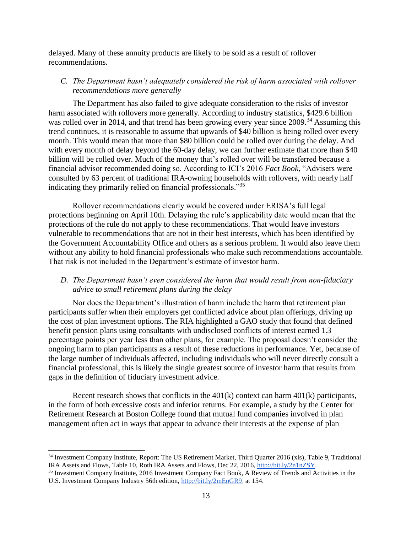delayed. Many of these annuity products are likely to be sold as a result of rollover recommendations.

# *C. The Department hasn't adequately considered the risk of harm associated with rollover recommendations more generally*

The Department has also failed to give adequate consideration to the risks of investor harm associated with rollovers more generally. According to industry statistics, \$429.6 billion was rolled over in 2014, and that trend has been growing every year since 2009.<sup>34</sup> Assuming this trend continues, it is reasonable to assume that upwards of \$40 billion is being rolled over every month. This would mean that more than \$80 billion could be rolled over during the delay. And with every month of delay beyond the 60-day delay, we can further estimate that more than \$40 billion will be rolled over. Much of the money that's rolled over will be transferred because a financial advisor recommended doing so. According to ICI's 2016 *Fact Book*, "Advisers were consulted by 63 percent of traditional IRA-owning households with rollovers, with nearly half indicating they primarily relied on financial professionals."<sup>35</sup>

Rollover recommendations clearly would be covered under ERISA's full legal protections beginning on April 10th. Delaying the rule's applicability date would mean that the protections of the rule do not apply to these recommendations. That would leave investors vulnerable to recommendations that are not in their best interests, which has been identified by the Government Accountability Office and others as a serious problem. It would also leave them without any ability to hold financial professionals who make such recommendations accountable. That risk is not included in the Department's estimate of investor harm.

# *D. The Department hasn't even considered the harm that would result from non-fiduciary advice to small retirement plans during the delay*

Nor does the Department's illustration of harm include the harm that retirement plan participants suffer when their employers get conflicted advice about plan offerings, driving up the cost of plan investment options. The RIA highlighted a GAO study that found that defined benefit pension plans using consultants with undisclosed conflicts of interest earned 1.3 percentage points per year less than other plans, for example. The proposal doesn't consider the ongoing harm to plan participants as a result of these reductions in performance. Yet, because of the large number of individuals affected, including individuals who will never directly consult a financial professional, this is likely the single greatest source of investor harm that results from gaps in the definition of fiduciary investment advice.

Recent research shows that conflicts in the  $401(k)$  context can harm  $401(k)$  participants, in the form of both excessive costs and inferior returns. For example, a study by the Center for Retirement Research at Boston College found that mutual fund companies involved in plan management often act in ways that appear to advance their interests at the expense of plan

<sup>&</sup>lt;sup>34</sup> Investment Company Institute, Report: The US Retirement Market, Third Quarter 2016 (xls), Table 9, Traditional IRA Assets and Flows, Table 10, Roth IRA Assets and Flows, Dec 22, 2016, [http://bit.ly/2n1nZSY.](http://bit.ly/2n1nZSY)

<sup>&</sup>lt;sup>35</sup> Investment Company Institute, 2016 Investment Company Fact Book, A Review of Trends and Activities in the U.S. Investment Company Industry 56th edition, [http://bit.ly/2mEoGR9,](http://bit.ly/2mEoGR9) at 154.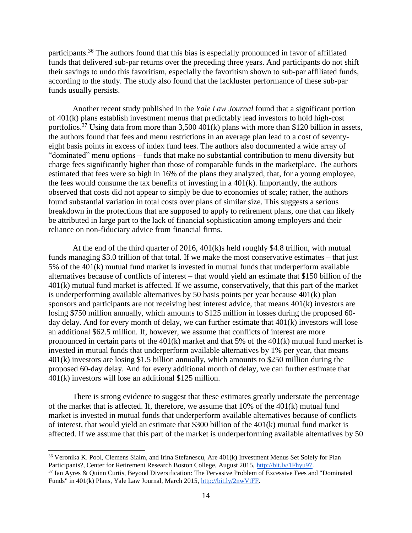participants.<sup>36</sup> The authors found that this bias is especially pronounced in favor of affiliated funds that delivered sub-par returns over the preceding three years. And participants do not shift their savings to undo this favoritism, especially the favoritism shown to sub-par affiliated funds, according to the study. The study also found that the lackluster performance of these sub-par funds usually persists.

Another recent study published in the *Yale Law Journal* found that a significant portion of 401(k) plans establish investment menus that predictably lead investors to hold high-cost portfolios.<sup>37</sup> Using data from more than  $3,500\,401(k)$  plans with more than \$120 billion in assets, the authors found that fees and menu restrictions in an average plan lead to a cost of seventyeight basis points in excess of index fund fees. The authors also documented a wide array of "dominated" menu options – funds that make no substantial contribution to menu diversity but charge fees significantly higher than those of comparable funds in the marketplace. The authors estimated that fees were so high in 16% of the plans they analyzed, that, for a young employee, the fees would consume the tax benefits of investing in a 401(k). Importantly, the authors observed that costs did not appear to simply be due to economies of scale; rather, the authors found substantial variation in total costs over plans of similar size. This suggests a serious breakdown in the protections that are supposed to apply to retirement plans, one that can likely be attributed in large part to the lack of financial sophistication among employers and their reliance on non-fiduciary advice from financial firms.

At the end of the third quarter of 2016, 401(k)s held roughly \$4.8 trillion, with mutual funds managing \$3.0 trillion of that total. If we make the most conservative estimates – that just 5% of the 401(k) mutual fund market is invested in mutual funds that underperform available alternatives because of conflicts of interest – that would yield an estimate that \$150 billion of the 401(k) mutual fund market is affected. If we assume, conservatively, that this part of the market is underperforming available alternatives by 50 basis points per year because 401(k) plan sponsors and participants are not receiving best interest advice, that means 401(k) investors are losing \$750 million annually, which amounts to \$125 million in losses during the proposed 60 day delay. And for every month of delay, we can further estimate that 401(k) investors will lose an additional \$62.5 million. If, however, we assume that conflicts of interest are more pronounced in certain parts of the 401(k) market and that 5% of the 401(k) mutual fund market is invested in mutual funds that underperform available alternatives by 1% per year, that means 401(k) investors are losing \$1.5 billion annually, which amounts to \$250 million during the proposed 60-day delay. And for every additional month of delay, we can further estimate that 401(k) investors will lose an additional \$125 million.

There is strong evidence to suggest that these estimates greatly understate the percentage of the market that is affected. If, therefore, we assume that 10% of the 401(k) mutual fund market is invested in mutual funds that underperform available alternatives because of conflicts of interest, that would yield an estimate that \$300 billion of the 401(k) mutual fund market is affected. If we assume that this part of the market is underperforming available alternatives by 50

<sup>&</sup>lt;sup>36</sup> Veronika K. Pool, Clemens Sialm, and Irina Stefanescu, Are  $401(k)$  Investment Menus Set Solely for Plan Participants?, Center for Retirement Research Boston College, August 2015, [http://bit.ly/1Fhyu97.](http://crr.bc.edu/wp-content/uploads/2015/08/IB_15-13.pdf) <sup>37</sup> Ian Ayres & Quinn Curtis, Beyond Diversification: The Pervasive Problem of Excessive Fees and "Dominated

Funds" in 401(k) Plans, Yale Law Journal, March 2015[,](http://www.yalelawjournal.org/article/excessive-fees-and-dominated-funds-in-401k-plans) [http://bit.ly/2nwVtFF.](http://www.yalelawjournal.org/article/excessive-fees-and-dominated-funds-in-401k-plans)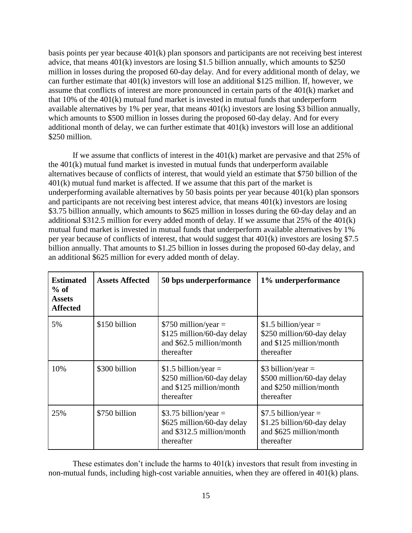basis points per year because 401(k) plan sponsors and participants are not receiving best interest advice, that means 401(k) investors are losing \$1.5 billion annually, which amounts to \$250 million in losses during the proposed 60-day delay. And for every additional month of delay, we can further estimate that 401(k) investors will lose an additional \$125 million. If, however, we assume that conflicts of interest are more pronounced in certain parts of the 401(k) market and that 10% of the 401(k) mutual fund market is invested in mutual funds that underperform available alternatives by 1% per year, that means  $401(k)$  investors are losing \$3 billion annually, which amounts to \$500 million in losses during the proposed 60-day delay. And for every additional month of delay, we can further estimate that 401(k) investors will lose an additional \$250 million.

If we assume that conflicts of interest in the 401(k) market are pervasive and that 25% of the 401(k) mutual fund market is invested in mutual funds that underperform available alternatives because of conflicts of interest, that would yield an estimate that \$750 billion of the 401(k) mutual fund market is affected. If we assume that this part of the market is underperforming available alternatives by 50 basis points per year because 401(k) plan sponsors and participants are not receiving best interest advice, that means 401(k) investors are losing \$3.75 billion annually, which amounts to \$625 million in losses during the 60-day delay and an additional \$312.5 million for every added month of delay. If we assume that 25% of the 401(k) mutual fund market is invested in mutual funds that underperform available alternatives by 1% per year because of conflicts of interest, that would suggest that 401(k) investors are losing \$7.5 billion annually. That amounts to \$1.25 billion in losses during the proposed 60-day delay, and an additional \$625 million for every added month of delay.

| <b>Estimated</b><br>$%$ of<br><b>Assets</b><br><b>Affected</b> | <b>Assets Affected</b> | 50 bps underperformance                                                                          | 1% underperformance                                                                           |
|----------------------------------------------------------------|------------------------|--------------------------------------------------------------------------------------------------|-----------------------------------------------------------------------------------------------|
| 5%                                                             | \$150 billion          | $$750$ million/year =<br>\$125 million/60-day delay<br>and \$62.5 million/month<br>thereafter    | $$1.5$ billion/year =<br>\$250 million/60-day delay<br>and \$125 million/month<br>thereafter  |
| 10%                                                            | \$300 billion          | $$1.5$ billion/year =<br>\$250 million/60-day delay<br>and \$125 million/month<br>thereafter     | $$3 billion/year =$<br>\$500 million/60-day delay<br>and \$250 million/month<br>thereafter    |
| 25%                                                            | \$750 billion          | \$3.75 billion/year $=$<br>\$625 million/60-day delay<br>and \$312.5 million/month<br>thereafter | $$7.5 billion/year =$<br>\$1.25 billion/60-day delay<br>and \$625 million/month<br>thereafter |

These estimates don't include the harms to 401(k) investors that result from investing in non-mutual funds, including high-cost variable annuities, when they are offered in 401(k) plans.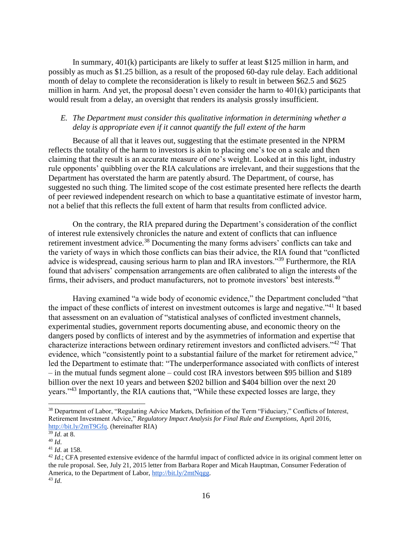In summary, 401(k) participants are likely to suffer at least \$125 million in harm, and possibly as much as \$1.25 billion, as a result of the proposed 60-day rule delay. Each additional month of delay to complete the reconsideration is likely to result in between \$62.5 and \$625 million in harm. And yet, the proposal doesn't even consider the harm to 401(k) participants that would result from a delay, an oversight that renders its analysis grossly insufficient.

## *E. The Department must consider this qualitative information in determining whether a delay is appropriate even if it cannot quantify the full extent of the harm*

Because of all that it leaves out, suggesting that the estimate presented in the NPRM reflects the totality of the harm to investors is akin to placing one's toe on a scale and then claiming that the result is an accurate measure of one's weight. Looked at in this light, industry rule opponents' quibbling over the RIA calculations are irrelevant, and their suggestions that the Department has overstated the harm are patently absurd. The Department, of course, has suggested no such thing. The limited scope of the cost estimate presented here reflects the dearth of peer reviewed independent research on which to base a quantitative estimate of investor harm, not a belief that this reflects the full extent of harm that results from conflicted advice.

On the contrary, the RIA prepared during the Department's consideration of the conflict of interest rule extensively chronicles the nature and extent of conflicts that can influence retirement investment advice.<sup>38</sup> Documenting the many forms advisers' conflicts can take and the variety of ways in which those conflicts can bias their advice, the RIA found that "conflicted advice is widespread, causing serious harm to plan and IRA investors."<sup>39</sup> Furthermore, the RIA found that advisers' compensation arrangements are often calibrated to align the interests of the firms, their advisers, and product manufacturers, not to promote investors' best interests.<sup>40</sup>

Having examined "a wide body of economic evidence," the Department concluded "that the impact of these conflicts of interest on investment outcomes is large and negative."<sup>41</sup> It based that assessment on an evaluation of "statistical analyses of conflicted investment channels, experimental studies, government reports documenting abuse, and economic theory on the dangers posed by conflicts of interest and by the asymmetries of information and expertise that characterize interactions between ordinary retirement investors and conflicted advisers."<sup>42</sup> That evidence, which "consistently point to a substantial failure of the market for retirement advice," led the Department to estimate that: "The underperformance associated with conflicts of interest – in the mutual funds segment alone – could cost IRA investors between \$95 billion and \$189 billion over the next 10 years and between \$202 billion and \$404 billion over the next 20 years."<sup>43</sup> Importantly, the RIA cautions that, "While these expected losses are large, they

<sup>&</sup>lt;sup>38</sup> Department of Labor, "Regulating Advice Markets, Definition of the Term "Fiduciary," Conflicts of Interest, Retirement Investment Advice," *Regulatory Impact Analysis for Final Rule and Exemptions,* April 2016, [http://bit.ly/2mT9Gfq.](http://bit.ly/2mT9Gfq) (hereinafter RIA)

 $39$   $\bar{d}$ , at 8.

<sup>40</sup> *Id*.

<sup>41</sup> *Id*. at 158.

<sup>&</sup>lt;sup>42</sup> *Id.*; CFA presented extensive evidence of the harmful impact of conflicted advice in its original comment letter on the rule proposal. See, July 21, 2015 letter from Barbara Roper and Micah Hauptman, Consumer Federation of America, to the Department of Labor, [http://bit.ly/2mtNqgg.](http://bit.ly/2mtNqgg) <sup>43</sup> *Id*.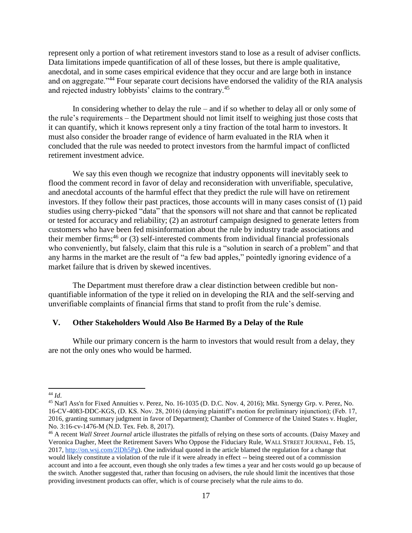represent only a portion of what retirement investors stand to lose as a result of adviser conflicts. Data limitations impede quantification of all of these losses, but there is ample qualitative, anecdotal, and in some cases empirical evidence that they occur and are large both in instance and on aggregate."<sup>44</sup> Four separate court decisions have endorsed the validity of the RIA analysis and rejected industry lobbyists' claims to the contrary.<sup>45</sup>

In considering whether to delay the rule – and if so whether to delay all or only some of the rule's requirements – the Department should not limit itself to weighing just those costs that it can quantify, which it knows represent only a tiny fraction of the total harm to investors. It must also consider the broader range of evidence of harm evaluated in the RIA when it concluded that the rule was needed to protect investors from the harmful impact of conflicted retirement investment advice.

We say this even though we recognize that industry opponents will inevitably seek to flood the comment record in favor of delay and reconsideration with unverifiable, speculative, and anecdotal accounts of the harmful effect that they predict the rule will have on retirement investors. If they follow their past practices, those accounts will in many cases consist of (1) paid studies using cherry-picked "data" that the sponsors will not share and that cannot be replicated or tested for accuracy and reliability; (2) an astroturf campaign designed to generate letters from customers who have been fed misinformation about the rule by industry trade associations and their member firms;<sup>46</sup> or (3) self-interested comments from individual financial professionals who conveniently, but falsely, claim that this rule is a "solution in search of a problem" and that any harms in the market are the result of "a few bad apples," pointedly ignoring evidence of a market failure that is driven by skewed incentives.

The Department must therefore draw a clear distinction between credible but nonquantifiable information of the type it relied on in developing the RIA and the self-serving and unverifiable complaints of financial firms that stand to profit from the rule's demise.

### **V. Other Stakeholders Would Also Be Harmed By a Delay of the Rule**

While our primary concern is the harm to investors that would result from a delay, they are not the only ones who would be harmed.

 $\overline{a}$ 

<sup>44</sup> *Id*.

<sup>45</sup> Nat'l Ass'n for Fixed Annuities v. Perez, No. 16-1035 (D. D.C. Nov. 4, 2016); Mkt. Synergy Grp. v. Perez, No. 16-CV-4083-DDC-KGS, (D. KS. Nov. 28, 2016) (denying plaintiff's motion for preliminary injunction); (Feb. 17, 2016, granting summary judgment in favor of Department); Chamber of Commerce of the United States v. Hugler, No. 3:16-cv-1476-M (N.D. Tex. Feb. 8, 2017).

<sup>46</sup> A recent *Wall Street Journal* article illustrates the pitfalls of relying on these sorts of accounts. (Daisy Maxey and Veronica Dagher, Meet the Retirement Savers Who Oppose the Fiduciary Rule, WALL STREET JOURNAL, Feb. 15, 2017, [http://on.wsj.com/2lDh5Pg\)](http://on.wsj.com/2lDh5Pg). One individual quoted in the article blamed the regulation for a change that would likely constitute a violation of the rule if it were already in effect -- being steered out of a commission account and into a fee account, even though she only trades a few times a year and her costs would go up because of the switch. Another suggested that, rather than focusing on advisers, the rule should limit the incentives that those providing investment products can offer, which is of course precisely what the rule aims to do.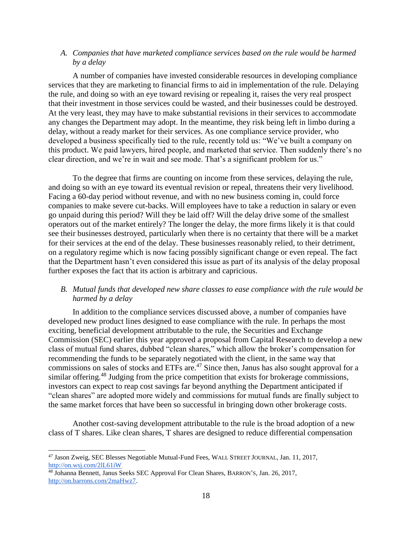## *A. Companies that have marketed compliance services based on the rule would be harmed by a delay*

A number of companies have invested considerable resources in developing compliance services that they are marketing to financial firms to aid in implementation of the rule. Delaying the rule, and doing so with an eye toward revising or repealing it, raises the very real prospect that their investment in those services could be wasted, and their businesses could be destroyed. At the very least, they may have to make substantial revisions in their services to accommodate any changes the Department may adopt. In the meantime, they risk being left in limbo during a delay, without a ready market for their services. As one compliance service provider, who developed a business specifically tied to the rule, recently told us: "We've built a company on this product. We paid lawyers, hired people, and marketed that service. Then suddenly there's no clear direction, and we're in wait and see mode. That's a significant problem for us."

To the degree that firms are counting on income from these services, delaying the rule, and doing so with an eye toward its eventual revision or repeal, threatens their very livelihood. Facing a 60-day period without revenue, and with no new business coming in, could force companies to make severe cut-backs. Will employees have to take a reduction in salary or even go unpaid during this period? Will they be laid off? Will the delay drive some of the smallest operators out of the market entirely? The longer the delay, the more firms likely it is that could see their businesses destroyed, particularly when there is no certainty that there will be a market for their services at the end of the delay. These businesses reasonably relied, to their detriment, on a regulatory regime which is now facing possibly significant change or even repeal. The fact that the Department hasn't even considered this issue as part of its analysis of the delay proposal further exposes the fact that its action is arbitrary and capricious.

## *B. Mutual funds that developed new share classes to ease compliance with the rule would be harmed by a delay*

In addition to the compliance services discussed above, a number of companies have developed new product lines designed to ease compliance with the rule. In perhaps the most exciting, beneficial development attributable to the rule, the Securities and Exchange Commission (SEC) earlier this year approved a proposal from Capital Research to develop a new class of mutual fund shares, dubbed "clean shares," which allow the broker's compensation for recommending the funds to be separately negotiated with the client, in the same way that commissions on sales of stocks and ETFs are.<sup>47</sup> Since then, Janus has also sought approval for a similar offering.<sup>48</sup> Judging from the price competition that exists for brokerage commissions, investors can expect to reap cost savings far beyond anything the Department anticipated if "clean shares" are adopted more widely and commissions for mutual funds are finally subject to the same market forces that have been so successful in bringing down other brokerage costs.

Another cost-saving development attributable to the rule is the broad adoption of a new class of T shares. Like clean shares, T shares are designed to reduce differential compensation

<sup>47</sup> Jason Zweig, SEC Blesses Negotiable Mutual-Fund Fees, WALL STREET JOURNAL, Jan. 11, 2017, [http://on.wsj.com/2lL61iW.](http://on.wsj.com/2lL61iW)

<sup>48</sup> Johanna Bennett, Janus Seeks SEC Approval For Clean Shares, BARRON'S, Jan. 26, 2017, [http://on.barrons.com/2maHwz7.](http://on.barrons.com/2maHwz7)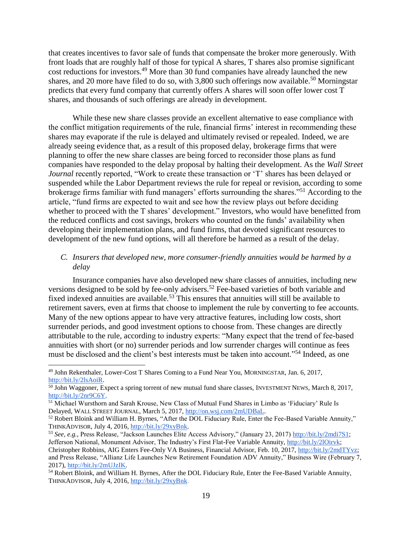that creates incentives to favor sale of funds that compensate the broker more generously. With front loads that are roughly half of those for typical A shares, T shares also promise significant cost reductions for investors.<sup>49</sup> More than 30 fund companies have already launched the new shares, and 20 more have filed to do so, with  $3,800$  such offerings now available.<sup>50</sup> Morningstar predicts that every fund company that currently offers A shares will soon offer lower cost T shares, and thousands of such offerings are already in development.

While these new share classes provide an excellent alternative to ease compliance with the conflict mitigation requirements of the rule, financial firms' interest in recommending these shares may evaporate if the rule is delayed and ultimately revised or repealed. Indeed, we are already seeing evidence that, as a result of this proposed delay, brokerage firms that were planning to offer the new share classes are being forced to reconsider those plans as fund companies have responded to the delay proposal by halting their development. As the *Wall Street Journal* recently reported, "Work to create these transaction or 'T' shares has been delayed or suspended while the Labor Department reviews the rule for repeal or revision, according to some brokerage firms familiar with fund managers' efforts surrounding the shares."<sup>51</sup> According to the article, "fund firms are expected to wait and see how the review plays out before deciding whether to proceed with the T shares' development." Investors, who would have benefitted from the reduced conflicts and cost savings, brokers who counted on the funds' availability when developing their implementation plans, and fund firms, that devoted significant resources to development of the new fund options, will all therefore be harmed as a result of the delay.

# *C. Insurers that developed new, more consumer-friendly annuities would be harmed by a delay*

Insurance companies have also developed new share classes of annuities, including new versions designed to be sold by fee-only advisers.<sup>52</sup> Fee-based varieties of both variable and fixed indexed annuities are available.<sup>53</sup> This ensures that annuities will still be available to retirement savers, even at firms that choose to implement the rule by converting to fee accounts. Many of the new options appear to have very attractive features, including low costs, short surrender periods, and good investment options to choose from. These changes are directly attributable to the rule, according to industry experts: "Many expect that the trend of fee-based annuities with short (or no) surrender periods and low surrender charges will continue as fees must be disclosed and the client's best interests must be taken into account."<sup>54</sup> Indeed, as one

 $\overline{a}$ 

<sup>49</sup> John Rekenthaler, Lower-Cost T Shares Coming to a Fund Near You, MORNINGSTAR, Jan. 6, 2017, [http://bit.ly/2lsAoiR.](http://bit.ly/2lsAoiR)

<sup>&</sup>lt;sup>50</sup> John Waggoner, Expect a spring torrent of new mutual fund share classes, INVESTMENT NEWS, March 8, 2017, [http://bit.ly/2nr9C6Y.](http://bit.ly/2nr9C6Y)

<sup>51</sup> Michael Wursthorn and Sarah Krouse, New Class of Mutual Fund Shares in Limbo as 'Fiduciary' Rule Is Delayed, WALL STREET JOURNAL, March 5, 2017[, http://on.wsj.com/2mUDBaL.](http://on.wsj.com/2mUDBaL)

<sup>&</sup>lt;sup>52</sup> Robert Bloink and William H. Byrnes, "After the DOL Fiduciary Rule, Enter the Fee-Based Variable Annuity," THINKADVISOR, July 4, 2016, [http://bit.ly/29xyBnk.](http://bit.ly/29xyBnk) 

<sup>53</sup> *See, e.g.,* Press Release, "Jackson Launches Elite Access Advisory," (January 23, 2017) [http://bit.ly/2mdi7S1;](http://bit.ly/2mdi7S1) Jefferson National, Monument Advisor, The Industry's First Flat-Fee Variable Annuity[, http://bit.ly/2lOirvk;](http://bit.ly/2lOirvk) Christopher Robbins, AIG Enters Fee-Only VA Business, Financial Advisor, Feb. 10, 2017, [http://bit.ly/2mdTYvz;](http://bit.ly/2mdTYvz) and Press Release, "Allianz Life Launches New Retirement Foundation ADV Annuity," Business Wire (February 7, 2017), [http://bit.ly/2mUJzIK.](http://bit.ly/2mUJzIK)

<sup>54</sup> Robert Bloink, and William H. Byrnes, After the DOL Fiduciary Rule, Enter the Fee-Based Variable Annuity, THINKADVISOR, July 4, 2016, [http://bit.ly/29xyBnk.](http://bit.ly/29xyBnk)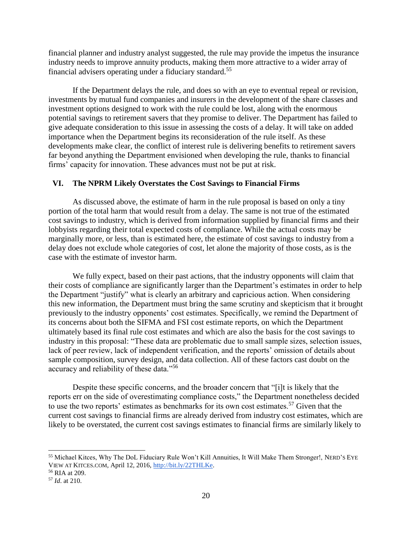financial planner and industry analyst suggested, the rule may provide the impetus the insurance industry needs to improve annuity products, making them more attractive to a wider array of financial advisers operating under a fiduciary standard.<sup>55</sup>

If the Department delays the rule, and does so with an eye to eventual repeal or revision, investments by mutual fund companies and insurers in the development of the share classes and investment options designed to work with the rule could be lost, along with the enormous potential savings to retirement savers that they promise to deliver. The Department has failed to give adequate consideration to this issue in assessing the costs of a delay. It will take on added importance when the Department begins its reconsideration of the rule itself. As these developments make clear, the conflict of interest rule is delivering benefits to retirement savers far beyond anything the Department envisioned when developing the rule, thanks to financial firms' capacity for innovation. These advances must not be put at risk.

# **VI. The NPRM Likely Overstates the Cost Savings to Financial Firms**

As discussed above, the estimate of harm in the rule proposal is based on only a tiny portion of the total harm that would result from a delay. The same is not true of the estimated cost savings to industry, which is derived from information supplied by financial firms and their lobbyists regarding their total expected costs of compliance. While the actual costs may be marginally more, or less, than is estimated here, the estimate of cost savings to industry from a delay does not exclude whole categories of cost, let alone the majority of those costs, as is the case with the estimate of investor harm.

We fully expect, based on their past actions, that the industry opponents will claim that their costs of compliance are significantly larger than the Department's estimates in order to help the Department "justify" what is clearly an arbitrary and capricious action. When considering this new information, the Department must bring the same scrutiny and skepticism that it brought previously to the industry opponents' cost estimates. Specifically, we remind the Department of its concerns about both the SIFMA and FSI cost estimate reports, on which the Department ultimately based its final rule cost estimates and which are also the basis for the cost savings to industry in this proposal: "These data are problematic due to small sample sizes, selection issues, lack of peer review, lack of independent verification, and the reports' omission of details about sample composition, survey design, and data collection. All of these factors cast doubt on the accuracy and reliability of these data."<sup>56</sup>

Despite these specific concerns, and the broader concern that "[i]t is likely that the reports err on the side of overestimating compliance costs," the Department nonetheless decided to use the two reports' estimates as benchmarks for its own cost estimates.<sup>57</sup> Given that the current cost savings to financial firms are already derived from industry cost estimates, which are likely to be overstated, the current cost savings estimates to financial firms are similarly likely to

<sup>55</sup> Michael Kitces, Why The DoL Fiduciary Rule Won't Kill Annuities, It Will Make Them Stronger!, NERD'S EYE VIEW AT KITCES.COM, April 12, 2016, [http://bit.ly/22THLKe.](http://bit.ly/22THLKe) 

<sup>56</sup> RIA at 209.

<sup>57</sup> *Id*. at 210.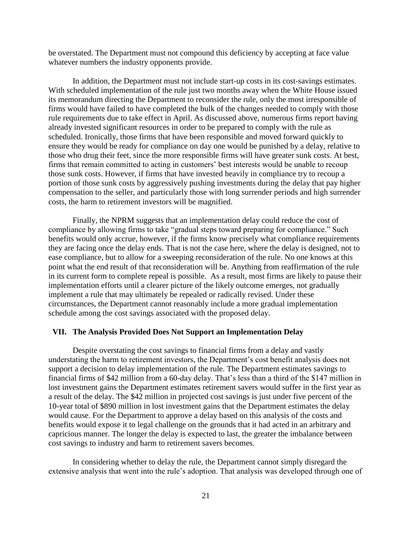be overstated. The Department must not compound this deficiency by accepting at face value whatever numbers the industry opponents provide.

In addition, the Department must not include start-up costs in its cost-savings estimates. With scheduled implementation of the rule just two months away when the White House issued its memorandum directing the Department to reconsider the rule, only the most irresponsible of firms would have failed to have completed the bulk of the changes needed to comply with those rule requirements due to take effect in April. As discussed above, numerous firms report having already invested significant resources in order to be prepared to comply with the rule as scheduled. Ironically, those firms that have been responsible and moved forward quickly to ensure they would be ready for compliance on day one would be punished by a delay, relative to those who drug their feet, since the more responsible firms will have greater sunk costs. At best, firms that remain committed to acting in customers' best interests would be unable to recoup those sunk costs. However, if firms that have invested heavily in compliance try to recoup a portion of those sunk costs by aggressively pushing investments during the delay that pay higher compensation to the seller, and particularly those with long surrender periods and high surrender costs, the harm to retirement investors will be magnified.

Finally, the NPRM suggests that an implementation delay could reduce the cost of compliance by allowing firms to take "gradual steps toward preparing for compliance." Such benefits would only accrue, however, if the firms know precisely what compliance requirements they are facing once the delay ends. That is not the case here, where the delay is designed, not to ease compliance, but to allow for a sweeping reconsideration of the rule. No one knows at this point what the end result of that reconsideration will be. Anything from reaffirmation of the rule in its current form to complete repeal is possible. As a result, most firms are likely to pause their implementation efforts until a clearer picture of the likely outcome emerges, not gradually implement a rule that may ultimately be repealed or radically revised. Under these circumstances, the Department cannot reasonably include a more gradual implementation schedule among the cost savings associated with the proposed delay.

#### **VII. The Analysis Provided Does Not Support an Implementation Delay**

Despite overstating the cost savings to financial firms from a delay and vastly understating the harm to retirement investors, the Department's cost benefit analysis does not support a decision to delay implementation of the rule. The Department estimates savings to financial firms of \$42 million from a 60-day delay. That's less than a third of the \$147 million in lost investment gains the Department estimates retirement savers would suffer in the first year as a result of the delay. The \$42 million in projected cost savings is just under five percent of the 10-year total of \$890 million in lost investment gains that the Department estimates the delay would cause. For the Department to approve a delay based on this analysis of the costs and benefits would expose it to legal challenge on the grounds that it had acted in an arbitrary and capricious manner. The longer the delay is expected to last, the greater the imbalance between cost savings to industry and harm to retirement savers becomes.

In considering whether to delay the rule, the Department cannot simply disregard the extensive analysis that went into the rule's adoption. That analysis was developed through one of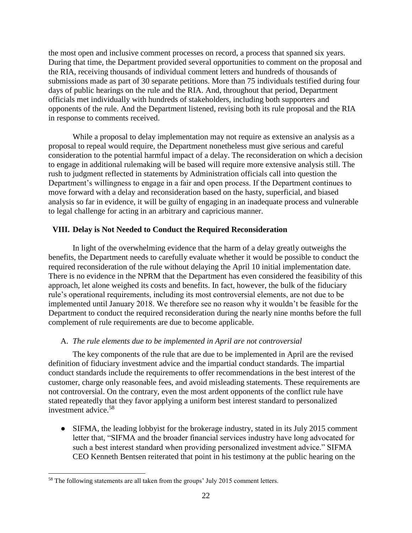the most open and inclusive comment processes on record, a process that spanned six years. During that time, the Department provided several opportunities to comment on the proposal and the RIA, receiving thousands of individual comment letters and hundreds of thousands of submissions made as part of 30 separate petitions. More than 75 individuals testified during four days of public hearings on the rule and the RIA. And, throughout that period, Department officials met individually with hundreds of stakeholders, including both supporters and opponents of the rule. And the Department listened, revising both its rule proposal and the RIA in response to comments received.

While a proposal to delay implementation may not require as extensive an analysis as a proposal to repeal would require, the Department nonetheless must give serious and careful consideration to the potential harmful impact of a delay. The reconsideration on which a decision to engage in additional rulemaking will be based will require more extensive analysis still. The rush to judgment reflected in statements by Administration officials call into question the Department's willingness to engage in a fair and open process. If the Department continues to move forward with a delay and reconsideration based on the hasty, superficial, and biased analysis so far in evidence, it will be guilty of engaging in an inadequate process and vulnerable to legal challenge for acting in an arbitrary and capricious manner.

# **VIII. Delay is Not Needed to Conduct the Required Reconsideration**

In light of the overwhelming evidence that the harm of a delay greatly outweighs the benefits, the Department needs to carefully evaluate whether it would be possible to conduct the required reconsideration of the rule without delaying the April 10 initial implementation date. There is no evidence in the NPRM that the Department has even considered the feasibility of this approach, let alone weighed its costs and benefits. In fact, however, the bulk of the fiduciary rule's operational requirements, including its most controversial elements, are not due to be implemented until January 2018. We therefore see no reason why it wouldn't be feasible for the Department to conduct the required reconsideration during the nearly nine months before the full complement of rule requirements are due to become applicable.

## A. *The rule elements due to be implemented in April are not controversial*

The key components of the rule that are due to be implemented in April are the revised definition of fiduciary investment advice and the impartial conduct standards. The impartial conduct standards include the requirements to offer recommendations in the best interest of the customer, charge only reasonable fees, and avoid misleading statements. These requirements are not controversial. On the contrary, even the most ardent opponents of the conflict rule have stated repeatedly that they favor applying a uniform best interest standard to personalized investment advice.<sup>58</sup>

• SIFMA, the leading lobbyist for the brokerage industry, stated in its July 2015 comment letter that, "SIFMA and the broader financial services industry have long advocated for such a best interest standard when providing personalized investment advice." SIFMA CEO Kenneth Bentsen reiterated that point in his testimony at the public hearing on the

 <sup>58</sup> The following statements are all taken from the groups' July 2015 comment letters.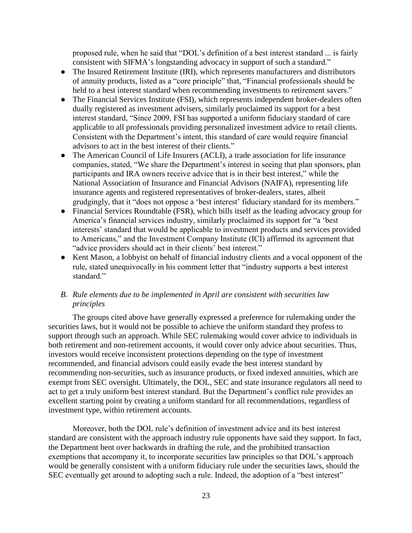proposed rule, when he said that "DOL's definition of a best interest standard ... is fairly consistent with SIFMA's longstanding advocacy in support of such a standard."

- The Insured Retirement Institute (IRI), which represents manufacturers and distributors of annuity products, listed as a "core principle" that, "Financial professionals should be held to a best interest standard when recommending investments to retirement savers."
- The Financial Services Institute (FSI), which represents independent broker-dealers often dually registered as investment advisers, similarly proclaimed its support for a best interest standard, "Since 2009, FSI has supported a uniform fiduciary standard of care applicable to all professionals providing personalized investment advice to retail clients. Consistent with the Department's intent, this standard of care would require financial advisors to act in the best interest of their clients."
- The American Council of Life Insurers (ACLI), a trade association for life insurance companies, stated, "We share the Department's interest in seeing that plan sponsors, plan participants and IRA owners receive advice that is in their best interest," while the National Association of Insurance and Financial Advisors (NAIFA), representing life insurance agents and registered representatives of broker-dealers, states, albeit grudgingly, that it "does not oppose a 'best interest' fiduciary standard for its members."
- Financial Services Roundtable (FSR), which bills itself as the leading advocacy group for America's financial services industry, similarly proclaimed its support for "a 'best interests' standard that would be applicable to investment products and services provided to Americans," and the Investment Company Institute (ICI) affirmed its agreement that "advice providers should act in their clients' best interest."
- Kent Mason, a lobbyist on behalf of financial industry clients and a vocal opponent of the rule, stated unequivocally in his comment letter that "industry supports a best interest standard."

# *B. Rule elements due to be implemented in April are consistent with securities law principles*

The groups cited above have generally expressed a preference for rulemaking under the securities laws, but it would not be possible to achieve the uniform standard they profess to support through such an approach. While SEC rulemaking would cover advice to individuals in both retirement and non-retirement accounts, it would cover only advice about securities. Thus, investors would receive inconsistent protections depending on the type of investment recommended, and financial advisors could easily evade the best interest standard by recommending non-securities, such as insurance products, or fixed indexed annuities, which are exempt from SEC oversight. Ultimately, the DOL, SEC and state insurance regulators all need to act to get a truly uniform best interest standard. But the Department's conflict rule provides an excellent starting point by creating a uniform standard for all recommendations, regardless of investment type, within retirement accounts.

Moreover, both the DOL rule's definition of investment advice and its best interest standard are consistent with the approach industry rule opponents have said they support. In fact, the Department bent over backwards in drafting the rule, and the prohibited transaction exemptions that accompany it, to incorporate securities law principles so that DOL's approach would be generally consistent with a uniform fiduciary rule under the securities laws, should the SEC eventually get around to adopting such a rule. Indeed, the adoption of a "best interest"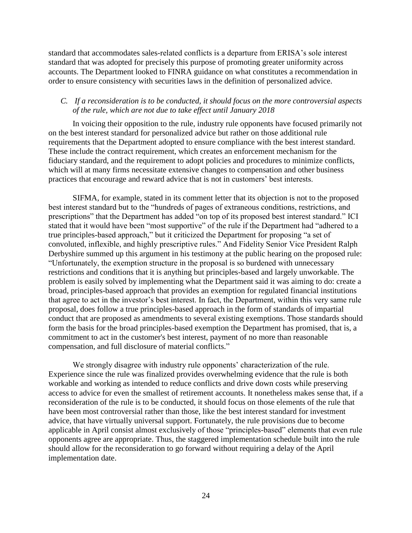standard that accommodates sales-related conflicts is a departure from ERISA's sole interest standard that was adopted for precisely this purpose of promoting greater uniformity across accounts. The Department looked to FINRA guidance on what constitutes a recommendation in order to ensure consistency with securities laws in the definition of personalized advice.

## *C. If a reconsideration is to be conducted, it should focus on the more controversial aspects of the rule, which are not due to take effect until January 2018*

In voicing their opposition to the rule, industry rule opponents have focused primarily not on the best interest standard for personalized advice but rather on those additional rule requirements that the Department adopted to ensure compliance with the best interest standard. These include the contract requirement, which creates an enforcement mechanism for the fiduciary standard, and the requirement to adopt policies and procedures to minimize conflicts, which will at many firms necessitate extensive changes to compensation and other business practices that encourage and reward advice that is not in customers' best interests.

SIFMA, for example, stated in its comment letter that its objection is not to the proposed best interest standard but to the "hundreds of pages of extraneous conditions, restrictions, and prescriptions" that the Department has added "on top of its proposed best interest standard." ICI stated that it would have been "most supportive" of the rule if the Department had "adhered to a true principles-based approach," but it criticized the Department for proposing "a set of convoluted, inflexible, and highly prescriptive rules." And Fidelity Senior Vice President Ralph Derbyshire summed up this argument in his testimony at the public hearing on the proposed rule: "Unfortunately, the exemption structure in the proposal is so burdened with unnecessary restrictions and conditions that it is anything but principles-based and largely unworkable. The problem is easily solved by implementing what the Department said it was aiming to do: create a broad, principles-based approach that provides an exemption for regulated financial institutions that agree to act in the investor's best interest. In fact, the Department, within this very same rule proposal, does follow a true principles-based approach in the form of standards of impartial conduct that are proposed as amendments to several existing exemptions. Those standards should form the basis for the broad principles-based exemption the Department has promised, that is, a commitment to act in the customer's best interest, payment of no more than reasonable compensation, and full disclosure of material conflicts."

We strongly disagree with industry rule opponents' characterization of the rule. Experience since the rule was finalized provides overwhelming evidence that the rule is both workable and working as intended to reduce conflicts and drive down costs while preserving access to advice for even the smallest of retirement accounts. It nonetheless makes sense that, if a reconsideration of the rule is to be conducted, it should focus on those elements of the rule that have been most controversial rather than those, like the best interest standard for investment advice, that have virtually universal support. Fortunately, the rule provisions due to become applicable in April consist almost exclusively of those "principles-based" elements that even rule opponents agree are appropriate. Thus, the staggered implementation schedule built into the rule should allow for the reconsideration to go forward without requiring a delay of the April implementation date.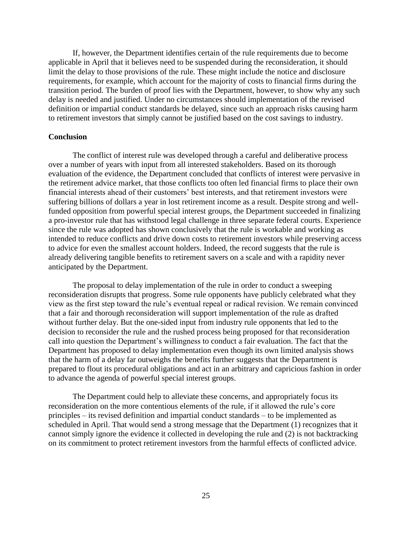If, however, the Department identifies certain of the rule requirements due to become applicable in April that it believes need to be suspended during the reconsideration, it should limit the delay to those provisions of the rule. These might include the notice and disclosure requirements, for example, which account for the majority of costs to financial firms during the transition period. The burden of proof lies with the Department, however, to show why any such delay is needed and justified. Under no circumstances should implementation of the revised definition or impartial conduct standards be delayed, since such an approach risks causing harm to retirement investors that simply cannot be justified based on the cost savings to industry.

#### **Conclusion**

The conflict of interest rule was developed through a careful and deliberative process over a number of years with input from all interested stakeholders. Based on its thorough evaluation of the evidence, the Department concluded that conflicts of interest were pervasive in the retirement advice market, that those conflicts too often led financial firms to place their own financial interests ahead of their customers' best interests, and that retirement investors were suffering billions of dollars a year in lost retirement income as a result. Despite strong and wellfunded opposition from powerful special interest groups, the Department succeeded in finalizing a pro-investor rule that has withstood legal challenge in three separate federal courts. Experience since the rule was adopted has shown conclusively that the rule is workable and working as intended to reduce conflicts and drive down costs to retirement investors while preserving access to advice for even the smallest account holders. Indeed, the record suggests that the rule is already delivering tangible benefits to retirement savers on a scale and with a rapidity never anticipated by the Department.

The proposal to delay implementation of the rule in order to conduct a sweeping reconsideration disrupts that progress. Some rule opponents have publicly celebrated what they view as the first step toward the rule's eventual repeal or radical revision. We remain convinced that a fair and thorough reconsideration will support implementation of the rule as drafted without further delay. But the one-sided input from industry rule opponents that led to the decision to reconsider the rule and the rushed process being proposed for that reconsideration call into question the Department's willingness to conduct a fair evaluation. The fact that the Department has proposed to delay implementation even though its own limited analysis shows that the harm of a delay far outweighs the benefits further suggests that the Department is prepared to flout its procedural obligations and act in an arbitrary and capricious fashion in order to advance the agenda of powerful special interest groups.

The Department could help to alleviate these concerns, and appropriately focus its reconsideration on the more contentious elements of the rule, if it allowed the rule's core principles – its revised definition and impartial conduct standards – to be implemented as scheduled in April. That would send a strong message that the Department (1) recognizes that it cannot simply ignore the evidence it collected in developing the rule and (2) is not backtracking on its commitment to protect retirement investors from the harmful effects of conflicted advice.